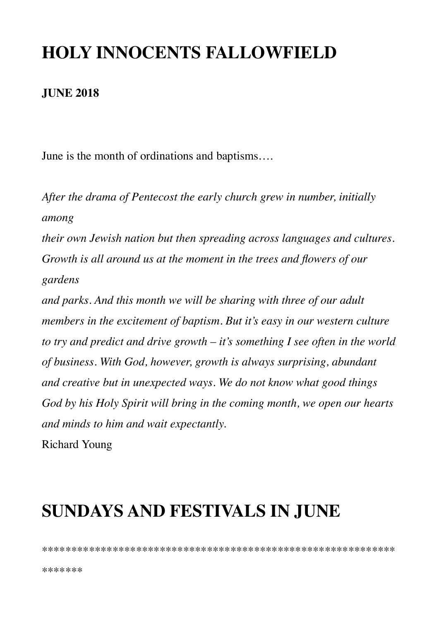## **HOLY INNOCENTS FALLOWFIELD**

#### **JUNE 2018**

June is the month of ordinations and baptisms....

After the drama of Pentecost the early church grew in number, initially among

their own Jewish nation but then spreading across languages and cultures. Growth is all around us at the moment in the trees and flowers of our gardens

and parks. And this month we will be sharing with three of our adult members in the excitement of baptism. But it's easy in our western culture to try and predict and drive growth  $-$  it's something I see often in the world of business. With God, however, growth is always surprising, abundant and creative but in unexpected ways. We do not know what good things God by his Holy Spirit will bring in the coming month, we open our hearts and minds to him and wait expectantly.

**Richard Young** 

## **SUNDAYS AND FESTIVALS IN JUNE**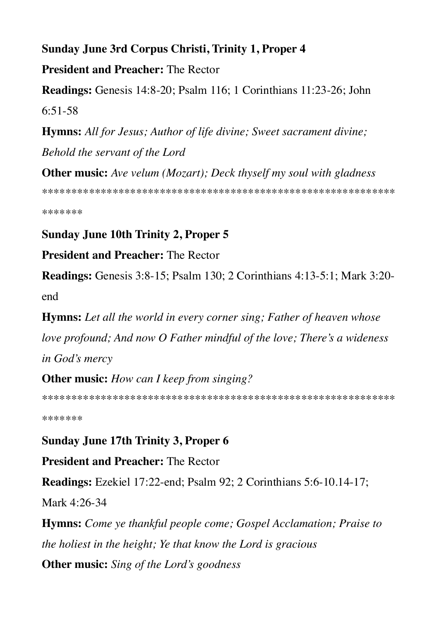### Sunday June 3rd Corpus Christi, Trinity 1, Proper 4 **President and Preacher: The Rector**

Readings: Genesis 14:8-20; Psalm 116; 1 Corinthians 11:23-26; John  $6:51-58$ 

**Hymns:** All for Jesus; Author of life divine; Sweet sacrament divine; Behold the servant of the Lord

**Other music:** Ave velum (Mozart); Deck thyself my soul with gladness 

\*\*\*\*\*\*\*

#### **Sunday June 10th Trinity 2, Proper 5**

#### **President and Preacher: The Rector**

**Readings:** Genesis 3:8-15; Psalm 130; 2 Corinthians 4:13-5:1; Mark 3:20end

**Hymns:** Let all the world in every corner sing; Father of heaven whose love profound; And now O Father mindful of the love; There's a wideness in God's mercy

#### **Other music:** How can I keep from singing?

\*\*\*\*\*\*\*

#### **Sunday June 17th Trinity 3, Proper 6**

**President and Preacher: The Rector** 

Readings: Ezekiel 17:22-end; Psalm 92; 2 Corinthians 5:6-10.14-17;

Mark 4:26-34

**Hymns:** Come ye thankful people come; Gospel Acclamation; Praise to the holiest in the height; Ye that know the Lord is gracious **Other music:** Sing of the Lord's goodness